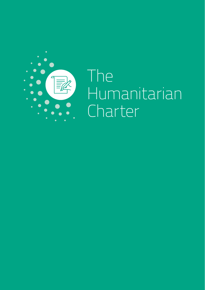

# The Humanitarian **Charter**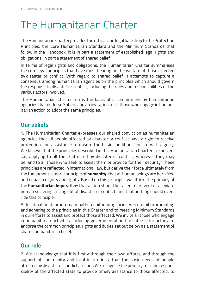## The Humanitarian Charter

The Humanitarian Charter provides the ethical and legal backdrop to the Protection Principles, the Core Humanitarian Standard and the Minimum Standards that follow in the Handbook. It is in part a statement of established legal rights and obligations, in part a statement of shared belief.

In terms of legal rights and obligations, the Humanitarian Charter summarises the core legal principles that have most bearing on the welfare of those affected by disaster or conflict. With regard to shared belief, it attempts to capture a consensus among humanitarian agencies on the principles which should govern the response to disaster or conflict, including the roles and responsibilities of the various actors involved.

The Humanitarian Charter forms the basis of a commitment by humanitarian agencies that endorse Sphere and an invitation to all those who engage in humanitarian action to adopt the same principles.

### **Our beliefs**

1. The Humanitarian Charter expresses our shared conviction as humanitarian agencies that all people affected by disaster or conflict have a right to receive protection and assistance to ensure the basic conditions for life with dignity. We believe that the principles described in this Humanitarian Charter are universal, applying to all those affected by disaster or conflict, wherever they may be, and to all those who seek to assist them or provide for their security. These principles are reflected in international law, but derive their force ultimately from the fundamental moral principle of **humanity**: that all human beings are born free and equal in dignity and rights. Based on this principle, we affirm the primacy of the **humanitarian imperative**: that action should be taken to prevent or alleviate human suffering arising out of disaster or conflict, and that nothing should override this principle.

As local, national and international humanitarian agencies, we commit to promoting and adhering to the principles in this Charter and to meeting Minimum Standards in our efforts to assist and protect those affected. We invite all those who engage in humanitarian activities, including governmental and private sector actors, to endorse the common principles, rights and duties set out below as a statement of shared humanitarian belief.

### **Our role**

2. We acknowledge that it is firstly through their own efforts, and through the support of community and local institutions, that the basic needs of people affected by disaster or conflict are met. We recognise the primary role and responsibility of the affected state to provide timely assistance to those affected, to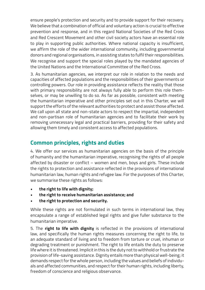ensure people's protection and security and to provide support for their recovery. We believe that a combination of official and voluntary action is crucial to effective prevention and response, and in this regard National Societies of the Red Cross and Red Crescent Movement and other civil society actors have an essential role to play in supporting public authorities. Where national capacity is insufficient, we affirm the role of the wider international community, including governmental donors and regional organisations, in assisting states to fulfil their responsibilities. We recognise and support the special roles played by the mandated agencies of the United Nations and the International Committee of the Red Cross.

3. As humanitarian agencies, we interpret our role in relation to the needs and capacities of affected populations and the responsibilities of their governments or controlling powers. Our role in providing assistance reflects the reality that those with primary responsibility are not always fully able to perform this role themselves, or may be unwilling to do so. As far as possible, consistent with meeting the humanitarian imperative and other principles set out in this Charter, we will support the efforts of the relevant authorities to protect and assist those affected. We call upon all state and non-state actors to respect the impartial, independent and non-partisan role of humanitarian agencies and to facilitate their work by removing unnecessary legal and practical barriers, providing for their safety and allowing them timely and consistent access to affected populations.

### **Common principles, rights and duties**

4. We offer our services as humanitarian agencies on the basis of the principle of humanity and the humanitarian imperative, recognising the rights of all people affected by disaster or conflict – women and men, boys and girls. These include the rights to protection and assistance reflected in the provisions of international humanitarian law, human rights and refugee law. For the purposes of this Charter, we summarise these rights as follows:

- **the right to life with dignity;**
- **the right to receive humanitarian assistance; and**
- **the right to protection and security.**

While these rights are not formulated in such terms in international law, they encapsulate a range of established legal rights and give fuller substance to the humanitarian imperative.

5. The **right to life with dignity** is reflected in the provisions of international law, and specifically the human rights measures concerning the right to life, to an adequate standard of living and to freedom from torture or cruel, inhuman or degrading treatment or punishment. The right to life entails the duty to preserve life where it is threatened. Implicit in this is the duty not to withhold or frustrate the provision of life-saving assistance. Dignity entails more than physical well-being; it demands respect for the whole person, including the values and beliefs of individuals and affected communities, and respect for their human rights, including liberty, freedom of conscience and religious observance.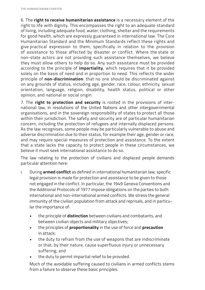6. The **right to receive humanitarian assistance** is a necessary element of the right to life with dignity. This encompasses the right to an adequate standard of living, including adequate food, water, clothing, shelter and the requirements for good health, which are expressly guaranteed in international law. The Core Humanitarian Standard and the Minimum Standards reflect these rights and give practical expression to them, specifically in relation to the provision of assistance to those affected by disaster or conflict. Where the state or non-state actors are not providing such assistance themselves, we believe they must allow others to help do so. Any such assistance must be provided according to the principle of **impartiality**, which requires that it be provided solely on the basis of need and in proportion to need. This reflects the wider principle of **non-discrimination**: that no one should be discriminated against on any grounds of status, including age, gender, race, colour, ethnicity, sexual orientation, language, religion, disability, health status, political or other opinion, and national or social origin.

7. The **right to protection and security** is rooted in the provisions of international law, in resolutions of the United Nations and other intergovernmental organisations, and in the sovereign responsibility of states to protect all those within their jurisdiction. The safety and security are of particular humanitarian concern, including the protection of refugees and internally displaced persons. As the law recognises, some people may be particularly vulnerable to abuse and adverse discrimination due to their status, for example their age, gender or race, and may require special measures of protection and assistance. To the extent that a state lacks the capacity to protect people in these circumstances, we believe it must seek international assistance to do so.

The law relating to the protection of civilians and displaced people demands particular attention here:

- i. During **armed conflict** as defined in international humanitarian law, specific legal provision is made for protection and assistance to be given to those not engaged in the conflict. In particular, the 1949 Geneva Conventions and the Additional Protocols of 1977 impose obligations on the parties to both international and non-international armed conflicts. We stress the general immunity of the civilian population from attack and reprisals, and in particular the importance of:
	- the principle of **distinction** between civilians and combatants, and between civilian objects and military objectives;
	- the principles of **proportionality** in the use of force and **precaution** in attack;
	- the duty to refrain from the use of weapons that are indiscriminate or that, by their nature, cause superfluous injury or unnecessary suffering; and
	- the duty to permit impartial relief to be provided.

Much of the avoidable suffering caused to civilians in armed conflicts stems from a failure to observe these basic principles.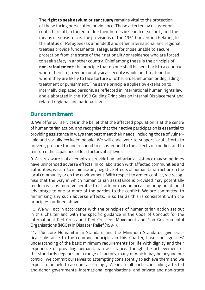ii. The **right to seek asylum or sanctuary** remains vital to the protection of those facing persecution or violence. Those affected by disaster or conflict are often forced to flee their homes in search of security and the means of subsistence. The provisions of the 1951 Convention Relating to the Status of Refugees (as amended) and other international and regional treaties provide fundamental safeguards for those unable to secure protection from the state of their nationality or residence who are forced to seek safety in another country. Chief among these is the principle of **non-refoulement**: the principle that no one shall be sent back to a country where their life, freedom or physical security would be threatened or where they are likely to face torture or other cruel, inhuman or degrading treatment or punishment. The same principle applies by extension to internally displaced persons, as reflected in international human rights law and elaborated in the 1998 Guiding Principles on Internal Displacement and related regional and national law.

#### **Our commitment**

8. We offer our services in the belief that the affected population is at the centre of humanitarian action, and recognise that their active participation is essential to providing assistance in ways that best meet their needs, including those of vulnerable and socially excluded people. We will endeavour to support local efforts to prevent, prepare for and respond to disaster and to the effects of conflict, and to reinforce the capacities of local actors at all levels.

9. We are aware that attempts to provide humanitarian assistance may sometimes have unintended adverse effects. In collaboration with affected communities and authorities, we aim to minimise any negative effects of humanitarian action on the local community or on the environment. With respect to armed conflict, we recognise that the way in which humanitarian assistance is provided may potentially render civilians more vulnerable to attack, or may on occasion bring unintended advantage to one or more of the parties to the conflict. We are committed to minimising any such adverse effects, in so far as this is consistent with the principles outlined above.

10. We will act in accordance with the principles of humanitarian action set out in this Charter and with the specific guidance in the Code of Conduct for the International Red Cross and Red Crescent Movement and Non-Governmental Organisations (NGOs) in Disaster Relief (1994).

11. The Core Humanitarian Standard and the Minimum Standards give practical substance to the common principles in this Charter, based on agencies' understanding of the basic minimum requirements for life with dignity and their experience of providing humanitarian assistance. Though the achievement of the standards depends on a range of factors, many of which may be beyond our control, we commit ourselves to attempting consistently to achieve them and we expect to be held to account accordingly. We invite all parties, including affected and donor governments, international organisations, and private and non-state